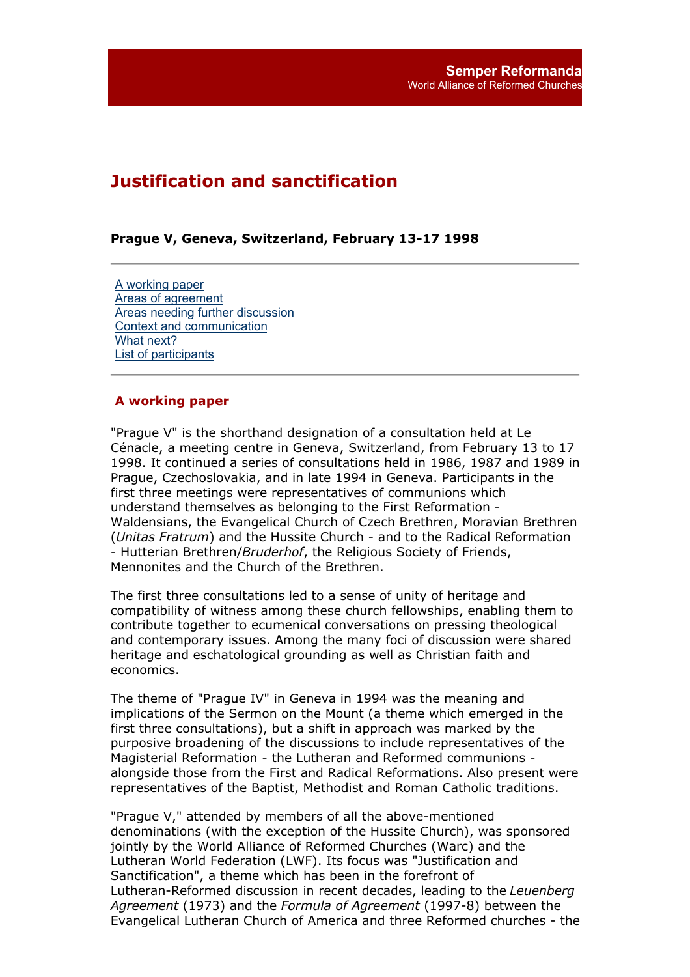# **Justification and sanctification**

## **Prague V, Geneva, Switzerland, February 13-17 1998**

A working paper Areas of agreement Areas needing further discussion Context and communication What next? List of participants

## **A working paper**

"Prague V" is the shorthand designation of a consultation held at Le Cénacle, a meeting centre in Geneva, Switzerland, from February 13 to 17 1998. It continued a series of consultations held in 1986, 1987 and 1989 in Prague, Czechoslovakia, and in late 1994 in Geneva. Participants in the first three meetings were representatives of communions which understand themselves as belonging to the First Reformation - Waldensians, the Evangelical Church of Czech Brethren, Moravian Brethren (*Unitas Fratrum*) and the Hussite Church - and to the Radical Reformation - Hutterian Brethren/*Bruderhof*, the Religious Society of Friends, Mennonites and the Church of the Brethren.

The first three consultations led to a sense of unity of heritage and compatibility of witness among these church fellowships, enabling them to contribute together to ecumenical conversations on pressing theological and contemporary issues. Among the many foci of discussion were shared heritage and eschatological grounding as well as Christian faith and economics.

The theme of "Prague IV" in Geneva in 1994 was the meaning and implications of the Sermon on the Mount (a theme which emerged in the first three consultations), but a shift in approach was marked by the purposive broadening of the discussions to include representatives of the Magisterial Reformation - the Lutheran and Reformed communions alongside those from the First and Radical Reformations. Also present were representatives of the Baptist, Methodist and Roman Catholic traditions.

"Prague V," attended by members of all the above-mentioned denominations (with the exception of the Hussite Church), was sponsored jointly by the World Alliance of Reformed Churches (Warc) and the Lutheran World Federation (LWF). Its focus was "Justification and Sanctification", a theme which has been in the forefront of Lutheran-Reformed discussion in recent decades, leading to the *Leuenberg Agreement* (1973) and the *Formula of Agreement* (1997-8) between the Evangelical Lutheran Church of America and three Reformed churches - the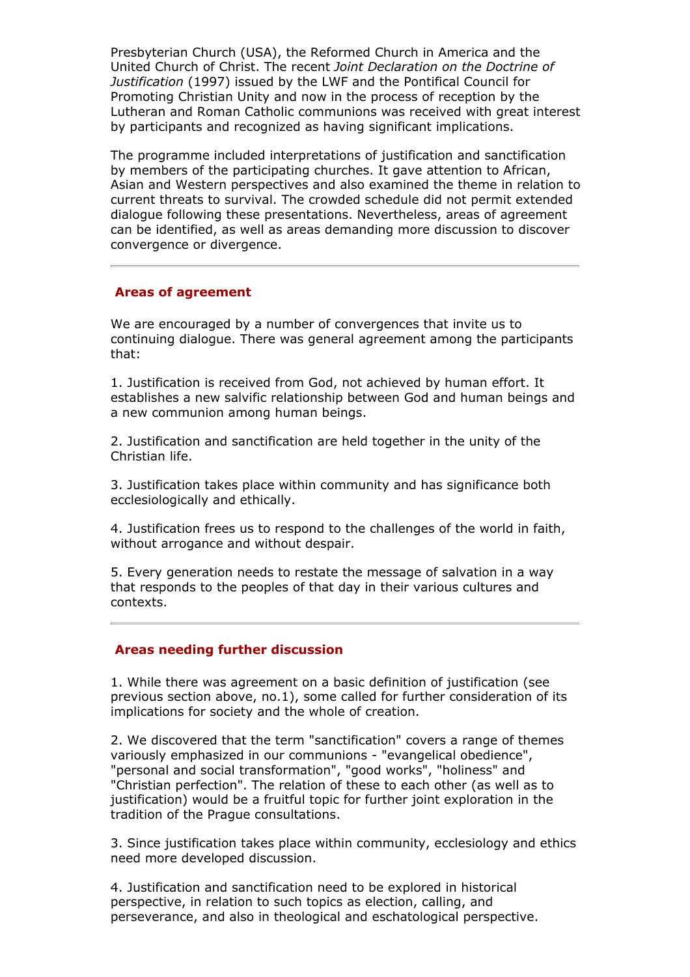Presbyterian Church (USA), the Reformed Church in America and the United Church of Christ. The recent *Joint Declaration on the Doctrine of Justification* (1997) issued by the LWF and the Pontifical Council for Promoting Christian Unity and now in the process of reception by the Lutheran and Roman Catholic communions was received with great interest by participants and recognized as having significant implications.

The programme included interpretations of justification and sanctification by members of the participating churches. It gave attention to African, Asian and Western perspectives and also examined the theme in relation to current threats to survival. The crowded schedule did not permit extended dialogue following these presentations. Nevertheless, areas of agreement can be identified, as well as areas demanding more discussion to discover convergence or divergence.

## **Areas of agreement**

We are encouraged by a number of convergences that invite us to continuing dialogue. There was general agreement among the participants that:

1. Justification is received from God, not achieved by human effort. It establishes a new salvific relationship between God and human beings and a new communion among human beings.

2. Justification and sanctification are held together in the unity of the Christian life.

3. Justification takes place within community and has significance both ecclesiologically and ethically.

4. Justification frees us to respond to the challenges of the world in faith, without arrogance and without despair.

5. Every generation needs to restate the message of salvation in a way that responds to the peoples of that day in their various cultures and contexts.

#### **Areas needing further discussion**

1. While there was agreement on a basic definition of justification (see previous section above, no.1), some called for further consideration of its implications for society and the whole of creation.

2. We discovered that the term "sanctification" covers a range of themes variously emphasized in our communions - "evangelical obedience", "personal and social transformation", "good works", "holiness" and "Christian perfection". The relation of these to each other (as well as to justification) would be a fruitful topic for further joint exploration in the tradition of the Prague consultations.

3. Since justification takes place within community, ecclesiology and ethics need more developed discussion.

4. Justification and sanctification need to be explored in historical perspective, in relation to such topics as election, calling, and perseverance, and also in theological and eschatological perspective.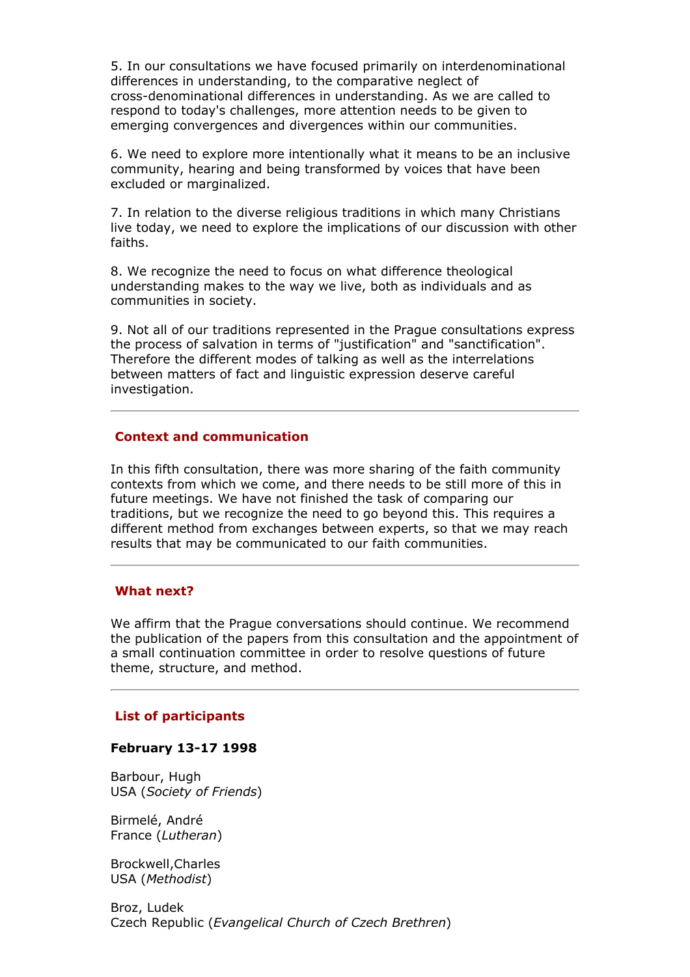5. In our consultations we have focused primarily on interdenominational differences in understanding, to the comparative neglect of cross-denominational differences in understanding. As we are called to respond to today's challenges, more attention needs to be given to emerging convergences and divergences within our communities.

6. We need to explore more intentionally what it means to be an inclusive community, hearing and being transformed by voices that have been excluded or marginalized.

7. In relation to the diverse religious traditions in which many Christians live today, we need to explore the implications of our discussion with other faiths.

8. We recognize the need to focus on what difference theological understanding makes to the way we live, both as individuals and as communities in society.

9. Not all of our traditions represented in the Prague consultations express the process of salvation in terms of "justification" and "sanctification". Therefore the different modes of talking as well as the interrelations between matters of fact and linguistic expression deserve careful investigation.

## **Context and communication**

In this fifth consultation, there was more sharing of the faith community contexts from which we come, and there needs to be still more of this in future meetings. We have not finished the task of comparing our traditions, but we recognize the need to go beyond this. This requires a different method from exchanges between experts, so that we may reach results that may be communicated to our faith communities.

## **What next?**

We affirm that the Prague conversations should continue. We recommend the publication of the papers from this consultation and the appointment of a small continuation committee in order to resolve questions of future theme, structure, and method.

### **List of participants**

#### **February 13-17 1998**

Barbour, Hugh USA (*Society of Friends*)

Birmelé, André France (*Lutheran*)

Brockwell,Charles USA (*Methodist*)

Broz, Ludek Czech Republic (*Evangelical Church of Czech Brethren*)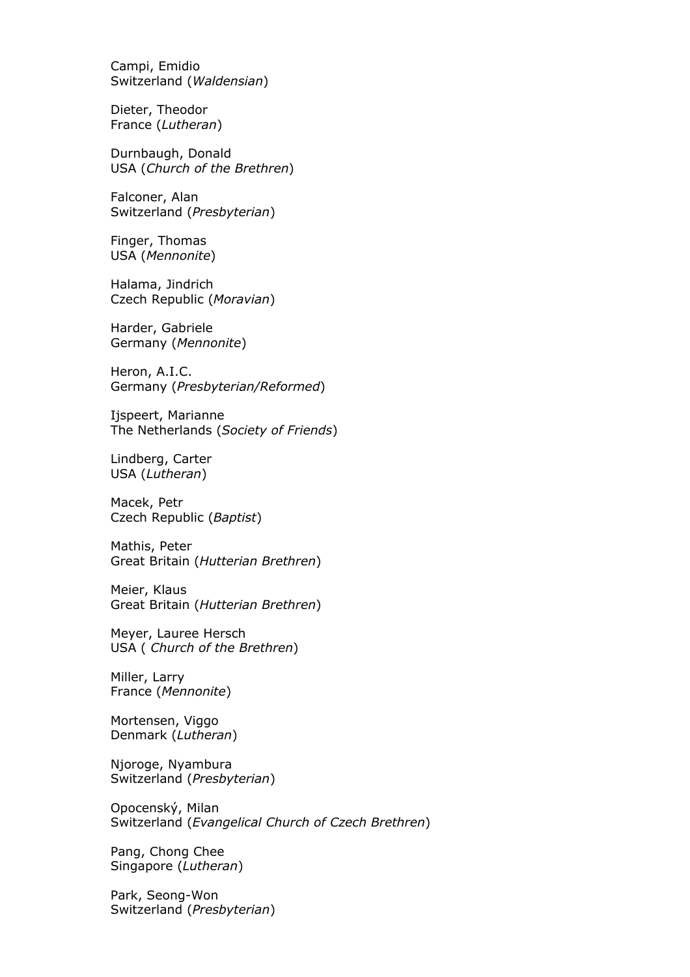Campi, Emidio Switzerland (*Waldensian*)

Dieter, Theodor France (*Lutheran*)

Durnbaugh, Donald USA (*Church of the Brethren*)

Falconer, Alan Switzerland (*Presbyterian*)

Finger, Thomas USA (*Mennonite*)

Halama, Jindrich Czech Republic (*Moravian*)

Harder, Gabriele Germany (*Mennonite*)

Heron, A.I.C. Germany (*Presbyterian/Reformed*)

Ijspeert, Marianne The Netherlands (*Society of Friends*)

Lindberg, Carter USA (*Lutheran*)

Macek, Petr Czech Republic (*Baptist*)

Mathis, Peter Great Britain (*Hutterian Brethren*)

Meier, Klaus Great Britain (*Hutterian Brethren*)

Meyer, Lauree Hersch USA ( *Church of the Brethren*)

Miller, Larry France (*Mennonite*)

Mortensen, Viggo Denmark (*Lutheran*)

Njoroge, Nyambura Switzerland (*Presbyterian*)

Opocenský, Milan Switzerland (*Evangelical Church of Czech Brethren*)

Pang, Chong Chee Singapore (*Lutheran*)

Park, Seong-Won Switzerland (*Presbyterian*)